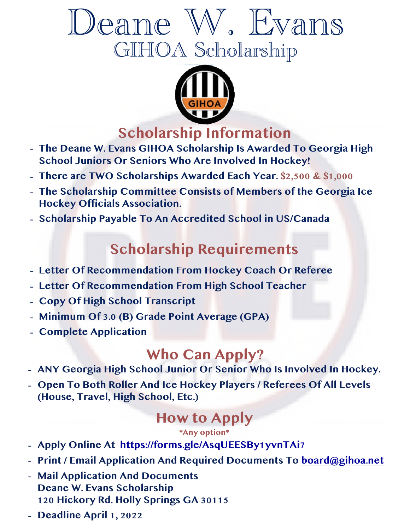# Deane W. Evans GIHOA Scholarship



## **Scholarship Information**

- **- The Deane W. Evans GIHOA Scholarship Is Awarded To Georgia High School Juniors Or Seniors Who Are Involved In Hockey!**
- **- There are TWO Scholarships Awarded Each Year. \$2,500 & \$1,000**
- **- The Scholarship Committee Consists of Members of the Georgia Ice Hockey Officials Association.**
- **- Scholarship Payable To An Accredited School in US/Canada**

## **Scholarship Requirements**

- **- Letter Of Recommendation From Hockey Coach Or Referee**
- **- Letter Of Recommendation From High School Teacher**
- **- Copy Of High School Transcript**
- **- Minimum Of 3.0 (B) Grade Point Average (GPA)**
- **- Complete Application**

- **Who Can Apply?**<br>**-** ANY Georgia High School Junior Or Senior Who Is Involved In Hockey.
- **- Open To Both Roller And Ice Hockey Players / Referees Of All Levels (House, Travel, High School, Etc.)**

### **How to Apply**

**\*Any option\***

- **- Apply Online At <https://forms.gle/AsqUEESBy1yvnTAi7>**
- **- Print / Email Application And Required Documents To [board@gihoa.net](mailto:board@gihoa.net)**
- **- Mail Application And Documents Deane W. Evans Scholarship 120 Hickory Rd. Holly Springs GA 30115**
- **- Deadline April 1, 2022**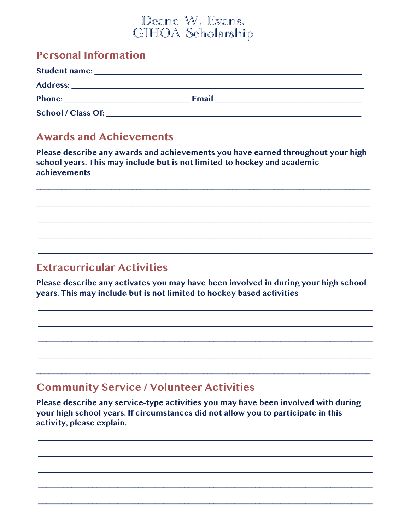#### Deane W. Evans. GIHOA Scholarship

#### **Personal Information**

| <b>Student name:</b><br>the contract of the contract of the contract of the contract of the contract of the contract of the contract of |              |  |
|-----------------------------------------------------------------------------------------------------------------------------------------|--------------|--|
|                                                                                                                                         |              |  |
| Phone:                                                                                                                                  | <b>Email</b> |  |
| School / Class Of:                                                                                                                      |              |  |

#### **Awards and Achievements**

Please describe any awards and achievements you have earned throughout your high school years. This may include but is not limited to hockey and academic achievements

#### **Extracurricular Activities**

Please describe any activates you may have been involved in during your high school years. This may include but is not limited to hockey based activities

#### **Community Service / Volunteer Activities**

Please describe any service-type activities you may have been involved with during your high school years. If circumstances did not allow you to participate in this activity, please explain.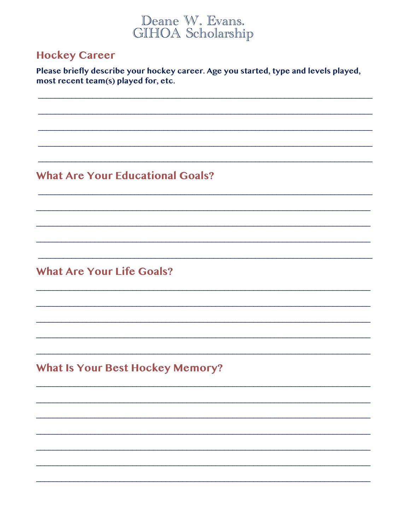### Deane W. Evans. GIHOA Scholarship

#### **Hockey Career**

Please briefly describe your hockey career. Age you started, type and levels played, most recent team(s) played for, etc.

#### **What Are Your Educational Goals?**

**What Are Your Life Goals?** 

**What Is Your Best Hockey Memory?**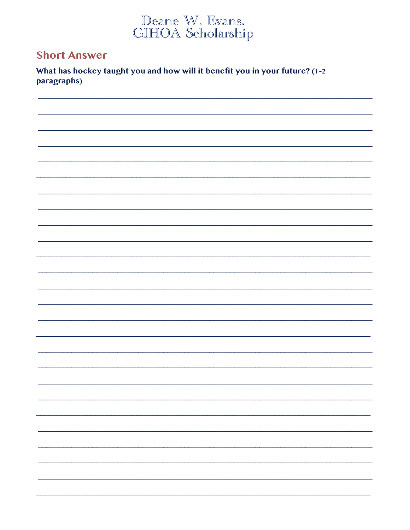# Deane W. Evans.<br>GIHOA Scholarship

#### **Short Answer**

What has hockey taught you and how will it benefit you in your future? (1-2 paragraphs)